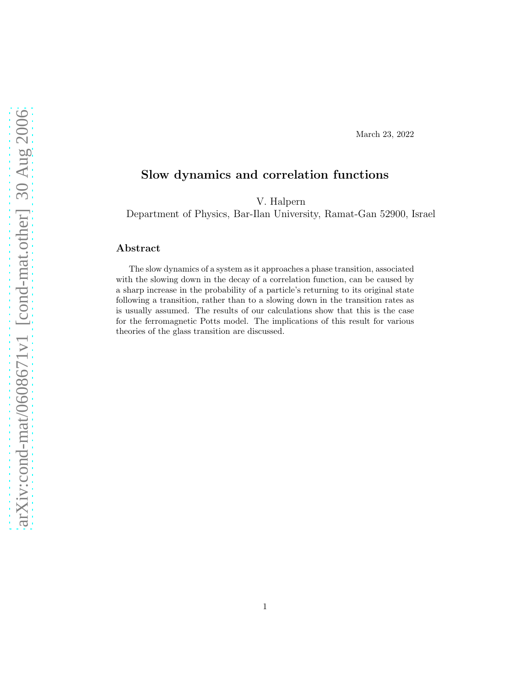#### March 23, 2022

# Slow dynamics and correlation functions

V. Halpern

Department of Physics, Bar-Ilan University, Ramat-Gan 52900, Israel

### Abstract

The slow dynamics of a system as it approaches a phase transition, associated with the slowing down in the decay of a correlation function, can be caused by a sharp increase in the probability of a particle's returning to its original state following a transition, rather than to a slowing down in the transition rates as is usually assumed. The results of our calculations show that this is the case for the ferromagnetic Potts model. The implications of this result for various theories of the glass transition are discussed.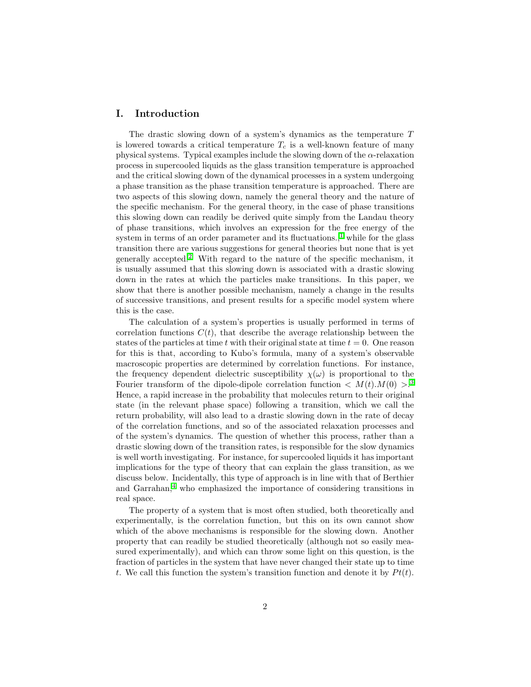## I. Introduction

The drastic slowing down of a system's dynamics as the temperature T is lowered towards a critical temperature  $T_c$  is a well-known feature of many physical systems. Typical examples include the slowing down of the  $\alpha$ -relaxation process in supercooled liquids as the glass transition temperature is approached and the critical slowing down of the dynamical processes in a system undergoing a phase transition as the phase transition temperature is approached. There are two aspects of this slowing down, namely the general theory and the nature of the specific mechanism. For the general theory, in the case of phase transitions this slowing down can readily be derived quite simply from the Landau theory of phase transitions, which involves an expression for the free energy of the system in terms of an order parameter and its fluctuations.,<sup>[1](#page-6-0)</sup> while for the glass transition there are various suggestions for general theories but none that is yet generally accepted.<sup>[2](#page-6-1)</sup> With regard to the nature of the specific mechanism, it is usually assumed that this slowing down is associated with a drastic slowing down in the rates at which the particles make transitions. In this paper, we show that there is another possible mechanism, namely a change in the results of successive transitions, and present results for a specific model system where this is the case.

The calculation of a system's properties is usually performed in terms of correlation functions  $C(t)$ , that describe the average relationship between the states of the particles at time t with their original state at time  $t = 0$ . One reason for this is that, according to Kubo's formula, many of a system's observable macroscopic properties are determined by correlation functions. For instance, the frequency dependent dielectric susceptibility  $\chi(\omega)$  is proportional to the Fourier transform of the dipole-dipole correlation function  $\langle M(t) . M(0) \rangle^3$  $\langle M(t) . M(0) \rangle^3$ Hence, a rapid increase in the probability that molecules return to their original state (in the relevant phase space) following a transition, which we call the return probability, will also lead to a drastic slowing down in the rate of decay of the correlation functions, and so of the associated relaxation processes and of the system's dynamics. The question of whether this process, rather than a drastic slowing down of the transition rates, is responsible for the slow dynamics is well worth investigating. For instance, for supercooled liquids it has important implications for the type of theory that can explain the glass transition, as we discuss below. Incidentally, this type of approach is in line with that of Berthier and Garrahan, $4\text{ who emphasized the importance of considering transitions in }$  $4\text{ who emphasized the importance of considering transitions in }$ real space.

The property of a system that is most often studied, both theoretically and experimentally, is the correlation function, but this on its own cannot show which of the above mechanisms is responsible for the slowing down. Another property that can readily be studied theoretically (although not so easily measured experimentally), and which can throw some light on this question, is the fraction of particles in the system that have never changed their state up to time t. We call this function the system's transition function and denote it by  $Pt(t)$ .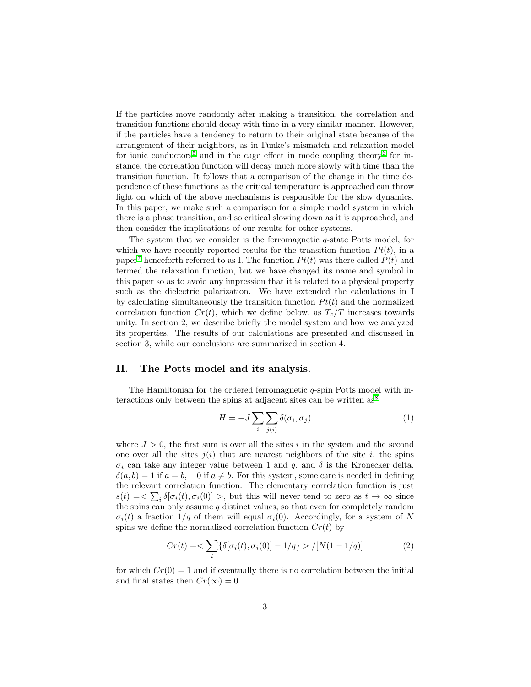If the particles move randomly after making a transition, the correlation and transition functions should decay with time in a very similar manner. However, if the particles have a tendency to return to their original state because of the arrangement of their neighbors, as in Funke's mismatch and relaxation model for ionic conductors<sup>[5](#page-6-4)</sup> and in the cage effect in mode coupling theory<sup>[6](#page-6-5)</sup> for instance, the correlation function will decay much more slowly with time than the transition function. It follows that a comparison of the change in the time dependence of these functions as the critical temperature is approached can throw light on which of the above mechanisms is responsible for the slow dynamics. In this paper, we make such a comparison for a simple model system in which there is a phase transition, and so critical slowing down as it is approached, and then consider the implications of our results for other systems.

The system that we consider is the ferromagnetic  $q$ -state Potts model, for which we have recently reported results for the transition function  $Pt(t)$ , in a paper<sup>[7](#page-6-6)</sup> henceforth referred to as I. The function  $Pt(t)$  was there called  $P(t)$  and termed the relaxation function, but we have changed its name and symbol in this paper so as to avoid any impression that it is related to a physical property such as the dielectric polarization. We have extended the calculations in I by calculating simultaneously the transition function  $P t(t)$  and the normalized correlation function  $Cr(t)$ , which we define below, as  $T_c/T$  increases towards unity. In section 2, we describe briefly the model system and how we analyzed its properties. The results of our calculations are presented and discussed in section 3, while our conclusions are summarized in section 4.

#### II. The Potts model and its analysis.

The Hamiltonian for the ordered ferromagnetic q-spin Potts model with interactions only between the spins at adjacent sites can be written  $as^8$  $as^8$ 

$$
H = -J \sum_{i} \sum_{j(i)} \delta(\sigma_i, \sigma_j)
$$
 (1)

where  $J > 0$ , the first sum is over all the sites i in the system and the second one over all the sites  $i(i)$  that are nearest neighbors of the site i, the spins  $\sigma_i$  can take any integer value between 1 and q, and  $\delta$  is the Kronecker delta,  $\delta(a, b) = 1$  if  $a = b$ , 0 if  $a \neq b$ . For this system, some care is needed in defining the relevant correlation function. The elementary correlation function is just  $s(t) = \sum_i \delta[\sigma_i(t), \sigma_i(0)] >$ , but this will never tend to zero as  $t \to \infty$  since the spins can only assume  $q$  distinct values, so that even for completely random  $\sigma_i(t)$  a fraction  $1/q$  of them will equal  $\sigma_i(0)$ . Accordingly, for a system of N spins we define the normalized correlation function  $Cr(t)$  by

$$
Cr(t) = \sum_{i} {\{\delta[\sigma_i(t), \sigma_i(0)] - 1/q\}} > / [N(1 - 1/q)] \tag{2}
$$

for which  $Cr(0) = 1$  and if eventually there is no correlation between the initial and final states then  $Cr(\infty) = 0$ .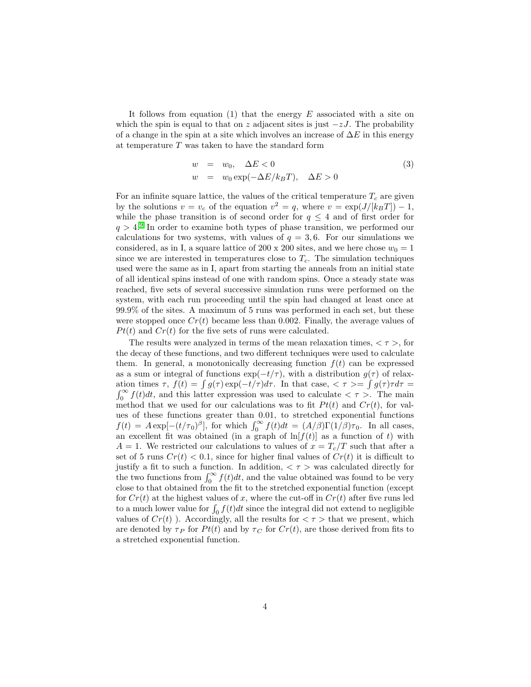It follows from equation (1) that the energy  $E$  associated with a site on which the spin is equal to that on z adjacent sites is just  $-zJ$ . The probability of a change in the spin at a site which involves an increase of  $\Delta E$  in this energy at temperature T was taken to have the standard form

$$
w = w_0, \quad \Delta E < 0
$$
  
\n
$$
w = w_0 \exp(-\Delta E/k_B T), \quad \Delta E > 0
$$
\n(3)

For an infinite square lattice, the values of the critical temperature  $T_c$  are given by the solutions  $v = v_c$  of the equation  $v^2 = q$ , where  $v = \exp\left(\frac{J}{k_BT}\right) - 1$ , while the phase transition is of second order for  $q \leq 4$  and of first order for  $q > 4$ <sup>[9](#page-6-8)</sup>. In order to examine both types of phase transition, we performed our calculations for two systems, with values of  $q = 3, 6$ . For our simulations we considered, as in I, a square lattice of 200 x 200 sites, and we here chose  $w_0 = 1$ since we are interested in temperatures close to  $T_c$ . The simulation techniques used were the same as in I, apart from starting the anneals from an initial state of all identical spins instead of one with random spins. Once a steady state was reached, five sets of several successive simulation runs were performed on the system, with each run proceeding until the spin had changed at least once at 99.9% of the sites. A maximum of 5 runs was performed in each set, but these were stopped once  $Cr(t)$  became less than 0.002. Finally, the average values of  $Pt(t)$  and  $Cr(t)$  for the five sets of runs were calculated.

The results were analyzed in terms of the mean relaxation times,  $\langle \tau \rangle$ , for the decay of these functions, and two different techniques were used to calculate them. In general, a monotonically decreasing function  $f(t)$  can be expressed as a sum or integral of functions  $\exp(-t/\tau)$ , with a distribution  $g(\tau)$  of relaxation times  $\tau$ ,  $f(t) = \int g(\tau) \exp(-t/\tau) d\tau$ . In that case,  $\langle \tau \rangle = \int g(\tau) \tau d\tau =$  $\int_0^\infty f(t)dt$ , and this latter expression was used to calculate  $\langle \tau \rangle$ . The main method that we used for our calculations was to fit  $Pt(t)$  and  $Cr(t)$ , for values of these functions greater than 0.01, to stretched exponential functions  $f(t) = A \exp[-(t/\tau_0)^{\beta}],$  for which  $\int_0^{\infty} f(t)dt = (A/\beta)\Gamma(1/\beta)\tau_0$ . In all cases, an excellent fit was obtained (in a graph of  $\ln[f(t)]$  as a function of t) with  $A = 1$ . We restricted our calculations to values of  $x = T_c/T$  such that after a set of 5 runs  $Cr(t) < 0.1$ , since for higher final values of  $Cr(t)$  it is difficult to justify a fit to such a function. In addition,  $\langle \tau \rangle$  was calculated directly for the two functions from  $\int_0^\infty f(t)dt$ , and the value obtained was found to be very close to that obtained from the fit to the stretched exponential function (except for  $Cr(t)$  at the highest values of x, where the cut-off in  $Cr(t)$  after five runs led to a much lower value for  $\int_0 f(t)dt$  since the integral did not extend to negligible values of  $Cr(t)$ ). Accordingly, all the results for  $\langle \tau \rangle$  that we present, which are denoted by  $\tau_P$  for  $Pt(t)$  and by  $\tau_C$  for  $Cr(t)$ , are those derived from fits to a stretched exponential function.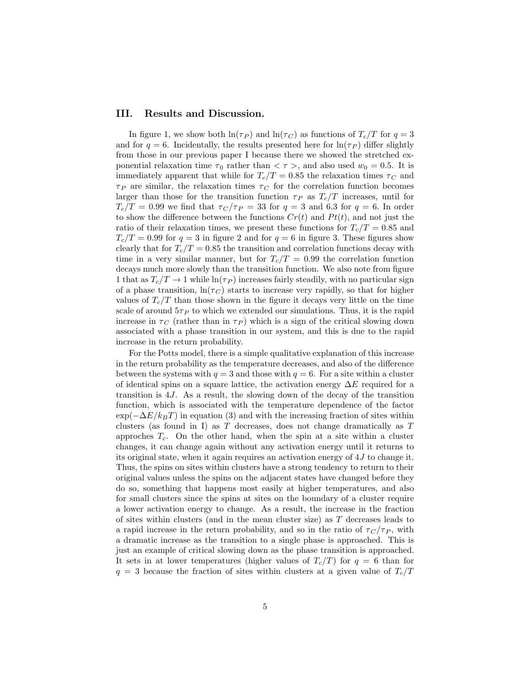#### III. Results and Discussion.

In figure 1, we show both  $\ln(\tau_P)$  and  $\ln(\tau_C)$  as functions of  $T_c/T$  for  $q=3$ and for  $q = 6$ . Incidentally, the results presented here for  $\ln(\tau_P)$  differ slightly from those in our previous paper I because there we showed the stretched exponential relaxation time  $\tau_0$  rather than  $\langle \tau \rangle$ , and also used  $w_0 = 0.5$ . It is immediately apparent that while for  $T_c/T = 0.85$  the relaxation times  $\tau_C$  and  $\tau_P$  are similar, the relaxation times  $\tau_C$  for the correlation function becomes larger than those for the transition function  $\tau_P$  as  $T_c/T$  increases, until for  $T_c/T = 0.99$  we find that  $\tau_C/\tau_P = 33$  for  $q = 3$  and 6.3 for  $q = 6$ . In order to show the difference between the functions  $Cr(t)$  and  $Pt(t)$ , and not just the ratio of their relaxation times, we present these functions for  $T_c/T = 0.85$  and  $T_c/T = 0.99$  for  $q = 3$  in figure 2 and for  $q = 6$  in figure 3. These figures show clearly that for  $T_c/T = 0.85$  the transition and correlation functions decay with time in a very similar manner, but for  $T_c/T = 0.99$  the correlation function decays much more slowly than the transition function. We also note from figure 1 that as  $T_c/T \rightarrow 1$  while  $\ln(\tau_P)$  increases fairly steadily, with no particular sign of a phase transition,  $\ln(\tau_C)$  starts to increase very rapidly, so that for higher values of  $T_c/T$  than those shown in the figure it decays very little on the time scale of around  $5\tau_P$  to which we extended our simulations. Thus, it is the rapid increase in  $\tau_C$  (rather than in  $\tau_P$ ) which is a sign of the critical slowing down associated with a phase transition in our system, and this is due to the rapid increase in the return probability.

For the Potts model, there is a simple qualitative explanation of this increase in the return probability as the temperature decreases, and also of the difference between the systems with  $q = 3$  and those with  $q = 6$ . For a site within a cluster of identical spins on a square lattice, the activation energy  $\Delta E$  required for a transition is 4J. As a result, the slowing down of the decay of the transition function, which is associated with the temperature dependence of the factor  $\exp(-\Delta E/k_BT)$  in equation (3) and with the increasing fraction of sites within clusters (as found in I) as  $T$  decreases, does not change dramatically as  $T$ approches  $T_c$ . On the other hand, when the spin at a site within a cluster changes, it can change again without any activation energy until it returns to its original state, when it again requires an activation energy of 4J to change it. Thus, the spins on sites within clusters have a strong tendency to return to their original values unless the spins on the adjacent states have changed before they do so, something that happens most easily at higher temperatures, and also for small clusters since the spins at sites on the boundary of a cluster require a lower activation energy to change. As a result, the increase in the fraction of sites within clusters (and in the mean cluster size) as  $T$  decreases leads to a rapid increase in the return probability, and so in the ratio of  $\tau_C/\tau_P$ , with a dramatic increase as the transition to a single phase is approached. This is just an example of critical slowing down as the phase transition is approached. It sets in at lower temperatures (higher values of  $T_c/T$ ) for  $q = 6$  than for  $q = 3$  because the fraction of sites within clusters at a given value of  $T_c/T$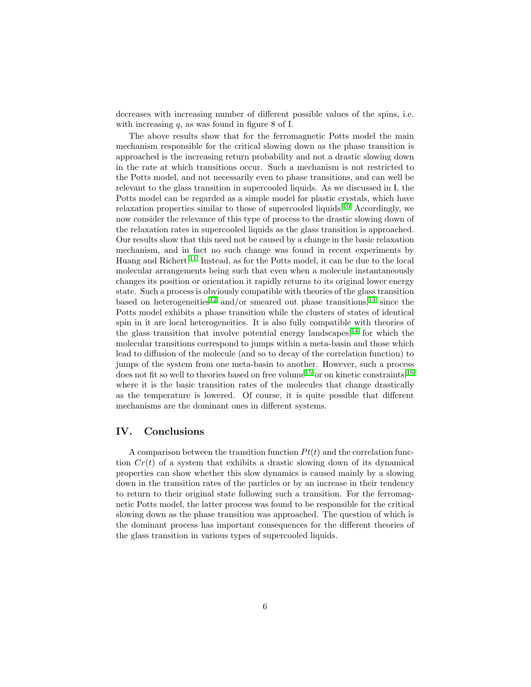decreases with increasing number of different possible values of the spins, i.e. with increasing  $q$ , as was found in figure 8 of I.

The above results show that for the ferromagnetic Potts model the main mechanism responsible for the critical slowing down as the phase transition is approached is the increasing return probability and not a drastic slowing down in the rate at which transitions occur. Such a mechanism is not restricted to the Potts model, and not necessarily even to phase transitions, and can well be relevant to the glass transition in supercooled liquids. As we discussed in I, the Potts model can be regarded as a simple model for plastic crystals, which have relaxation properties similar to those of supercooled liquids.<sup>[10](#page-6-9)</sup> Accordingly, we now consider the relevance of this type of process to the drastic slowing down of the relaxation rates in supercooled liquids as the glass transition is approached. Our results show that this need not be caused by a change in the basic relaxation mechanism, and in fact no such change was found in recent experiments by Huang and Richert.<sup>[11](#page-6-10)</sup> Instead, as for the Potts model, it can be due to the local molecular arrangements being such that even when a molecule instantaneously changes its position or orientation it rapidly returns to its original lower energy state. Such a process is obviously compatible with theories of the glass transition based on heterogeneities<sup>[12](#page-6-11)</sup> and/or smeared out phase transitions,<sup>[13](#page-6-12)</sup> since the Potts model exhibits a phase transition while the clusters of states of identical spin in it are local heterogeneities. It is also fully compatible with theories of the glass transition that involve potential energy landscapes,  $14$  for which the molecular transitions correspond to jumps within a meta-basin and those which lead to diffusion of the molecule (and so to decay of the correlation function) to jumps of the system from one meta-basin to another. However, such a process does not fit so well to theories based on free volume<sup>[15](#page-6-14)</sup> or on kinetic constraints,<sup>[16](#page-6-15)</sup> where it is the basic transition rates of the molecules that change drastically as the temperature is lowered. Of course, it is quite possible that different mechanisms are the dominant ones in different systems.

#### IV. Conclusions

A comparison between the transition function  $Pt(t)$  and the correlation function  $Cr(t)$  of a system that exhibits a drastic slowing down of its dynamical properties can show whether this slow dynamics is caused mainly by a slowing down in the transition rates of the particles or by an increase in their tendency to return to their original state following such a transition. For the ferromagnetic Potts model, the latter process was found to be responsible for the critical slowing down as the phase transition was approached. The question of which is the dominant process has important consequences for the different theories of the glass transition in various types of supercooled liquids.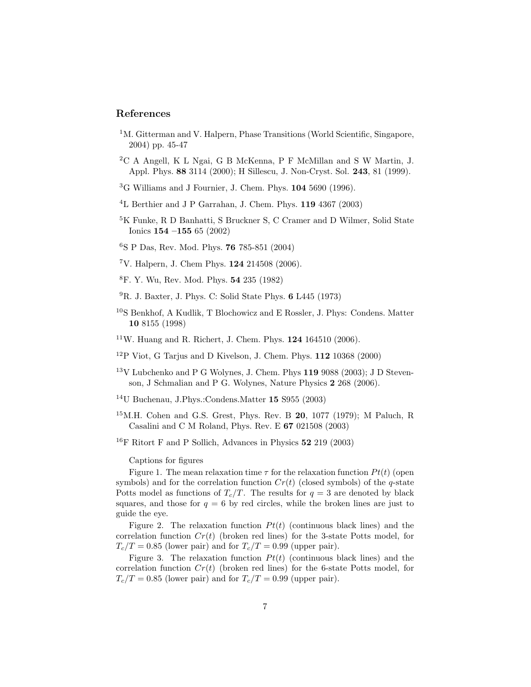# <span id="page-6-0"></span>References

- <sup>1</sup>M. Gitterman and V. Halpern, Phase Transitions (World Scientific, Singapore, 2004) pp. 45-47
- <span id="page-6-2"></span><span id="page-6-1"></span><sup>2</sup>C A Angell, K L Ngai, G B McKenna, P F McMillan and S W Martin, J. Appl. Phys. 88 3114 (2000); H Sillescu, J. Non-Cryst. Sol. 243, 81 (1999).
- <span id="page-6-3"></span><sup>3</sup>G Williams and J Fournier, J. Chem. Phys. 104 5690 (1996).
- <span id="page-6-4"></span><sup>4</sup>L Berthier and J P Garrahan, J. Chem. Phys. 119 4367 (2003)
- <sup>5</sup>K Funke, R D Banhatti, S Bruckner S, C Cramer and D Wilmer, Solid State Ionics 154 –155 65 (2002)
- <span id="page-6-6"></span><span id="page-6-5"></span><sup>6</sup>S P Das, Rev. Mod. Phys. 76 785-851 (2004)
- <span id="page-6-7"></span><sup>7</sup>V. Halpern, J. Chem Phys. 124 214508 (2006).
- <span id="page-6-8"></span><sup>8</sup>F. Y. Wu, Rev. Mod. Phys. 54 235 (1982)
- $^{9}$ R. J. Baxter, J. Phys. C: Solid State Phys. 6 L445 (1973)
- <span id="page-6-9"></span><sup>10</sup>S Benkhof, A Kudlik, T Blochowicz and E Rossler, J. Phys: Condens. Matter 10 8155 (1998)
- <span id="page-6-11"></span><span id="page-6-10"></span> $11$ W. Huang and R. Richert, J. Chem. Phys.  $124$  164510 (2006).
- <span id="page-6-12"></span> $12P$  Viot, G Tarjus and D Kivelson, J. Chem. Phys. 112 10368 (2000)
- $13V$  Lubchenko and P G Wolynes, J. Chem. Phys 119 9088 (2003); J D Stevenson, J Schmalian and P G. Wolynes, Nature Physics 2 268 (2006).
- <span id="page-6-14"></span><span id="page-6-13"></span><sup>14</sup>U Buchenau, J.Phys.:Condens.Matter 15 S955 (2003)
- $15$ M.H. Cohen and G.S. Grest, Phys. Rev. B 20, 1077 (1979); M Paluch, R Casalini and C M Roland, Phys. Rev. E 67 021508 (2003)
- <span id="page-6-15"></span><sup>16</sup>F Ritort F and P Sollich, Advances in Physics  $52\ 219\ (2003)$

Captions for figures

Figure 1. The mean relaxation time  $\tau$  for the relaxation function  $Pt(t)$  (open symbols) and for the correlation function  $Cr(t)$  (closed symbols) of the q-state Potts model as functions of  $T_c/T$ . The results for  $q = 3$  are denoted by black squares, and those for  $q = 6$  by red circles, while the broken lines are just to guide the eye.

Figure 2. The relaxation function  $Pt(t)$  (continuous black lines) and the correlation function  $Cr(t)$  (broken red lines) for the 3-state Potts model, for  $T_c/T = 0.85$  (lower pair) and for  $T_c/T = 0.99$  (upper pair).

Figure 3. The relaxation function  $Pt(t)$  (continuous black lines) and the correlation function  $Cr(t)$  (broken red lines) for the 6-state Potts model, for  $T_c/T = 0.85$  (lower pair) and for  $T_c/T = 0.99$  (upper pair).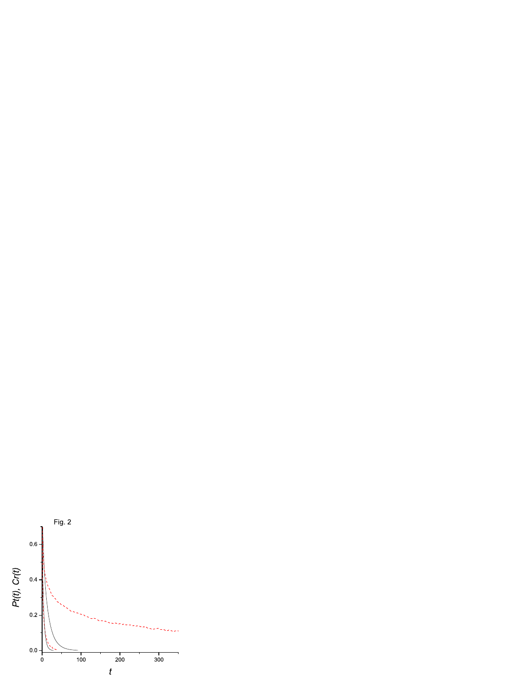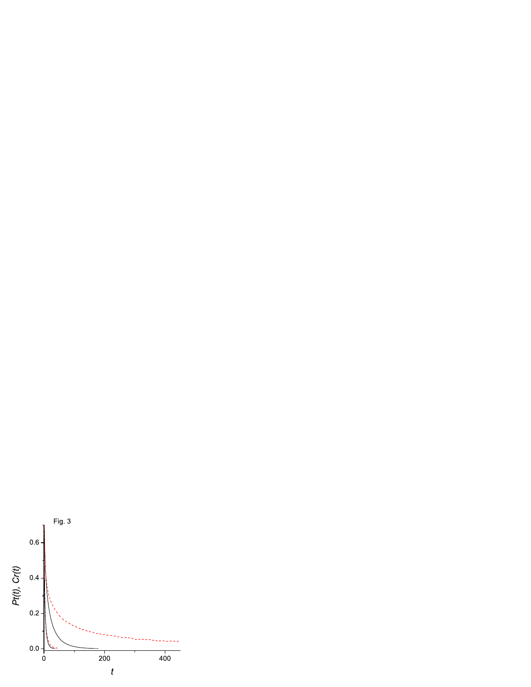